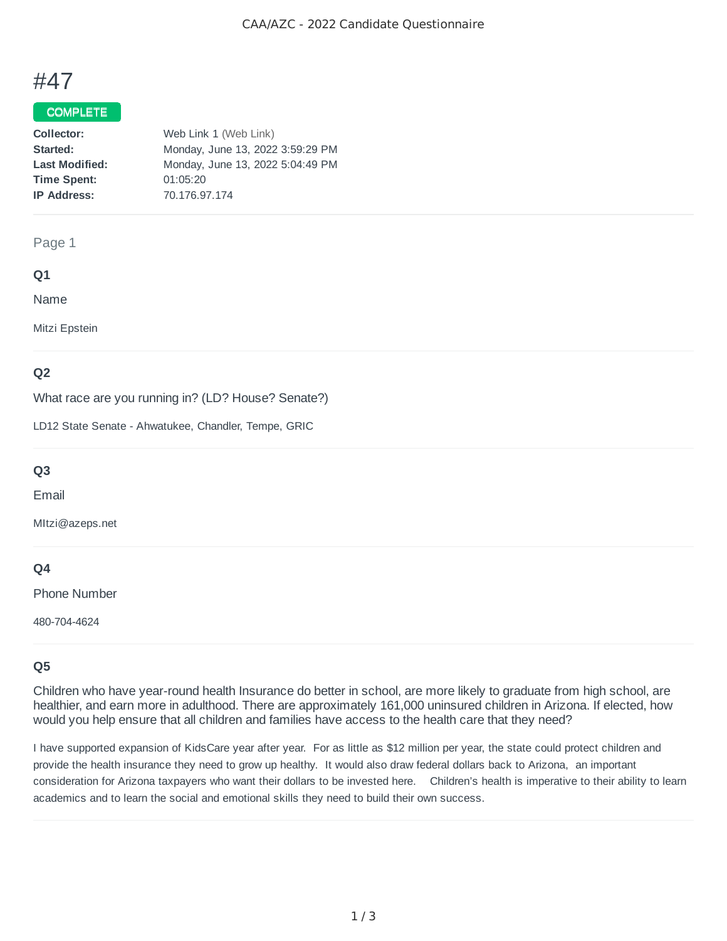# #47

## COMPLETE

| Web Link 1 (Web Link)            |
|----------------------------------|
| Monday, June 13, 2022 3:59:29 PM |
| Monday, June 13, 2022 5:04:49 PM |
| 01:05:20                         |
| 70.176.97.174                    |
|                                  |

#### Page 1

## **Q1**

Name

Mitzi Epstein

## **Q2**

What race are you running in? (LD? House? Senate?)

LD12 State Senate - Ahwatukee, Chandler, Tempe, GRIC

## **Q3**

Email

MItzi@azeps.net

## **Q4**

Phone Number

480-704-4624

# **Q5**

Children who have year-round health Insurance do better in school, are more likely to graduate from high school, are healthier, and earn more in adulthood. There are approximately 161,000 uninsured children in Arizona. If elected, how would you help ensure that all children and families have access to the health care that they need?

I have supported expansion of KidsCare year after year. For as little as \$12 million per year, the state could protect children and provide the health insurance they need to grow up healthy. It would also draw federal dollars back to Arizona, an important consideration for Arizona taxpayers who want their dollars to be invested here. Children's health is imperative to their ability to learn academics and to learn the social and emotional skills they need to build their own success.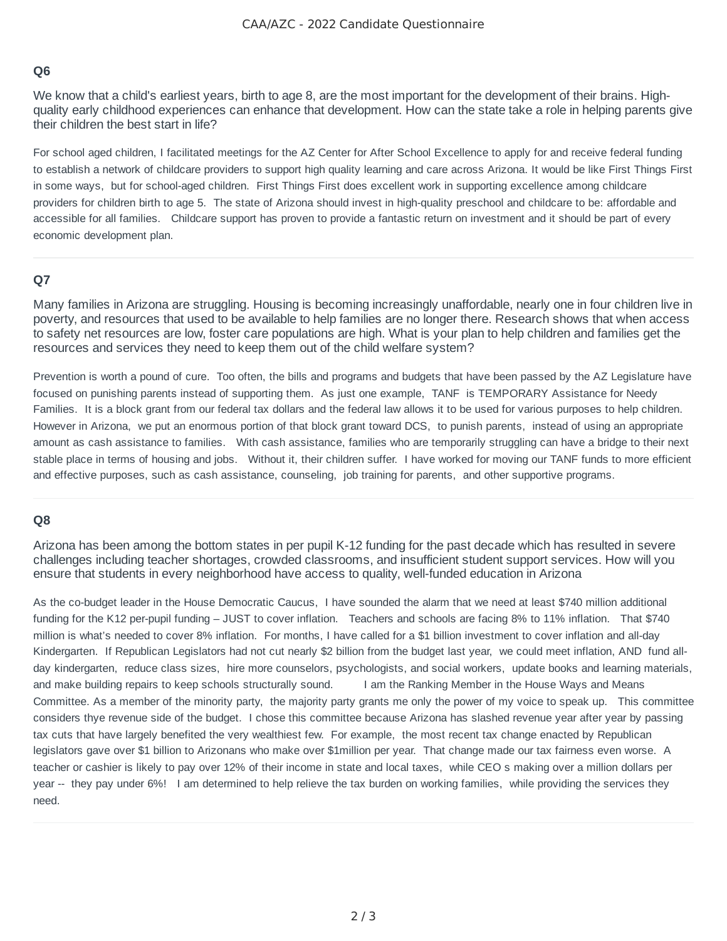## **Q6**

We know that a child's earliest years, birth to age 8, are the most important for the development of their brains. Highquality early childhood experiences can enhance that development. How can the state take a role in helping parents give their children the best start in life?

For school aged children, I facilitated meetings for the AZ Center for After School Excellence to apply for and receive federal funding to establish a network of childcare providers to support high quality learning and care across Arizona. It would be like First Things First in some ways, but for school-aged children. First Things First does excellent work in supporting excellence among childcare providers for children birth to age 5. The state of Arizona should invest in high-quality preschool and childcare to be: affordable and accessible for all families. Childcare support has proven to provide a fantastic return on investment and it should be part of every economic development plan.

## **Q7**

Many families in Arizona are struggling. Housing is becoming increasingly unaffordable, nearly one in four children live in poverty, and resources that used to be available to help families are no longer there. Research shows that when access to safety net resources are low, foster care populations are high. What is your plan to help children and families get the resources and services they need to keep them out of the child welfare system?

Prevention is worth a pound of cure. Too often, the bills and programs and budgets that have been passed by the AZ Legislature have focused on punishing parents instead of supporting them. As just one example, TANF is TEMPORARY Assistance for Needy Families. It is a block grant from our federal tax dollars and the federal law allows it to be used for various purposes to help children. However in Arizona, we put an enormous portion of that block grant toward DCS, to punish parents, instead of using an appropriate amount as cash assistance to families. With cash assistance, families who are temporarily struggling can have a bridge to their next stable place in terms of housing and jobs. Without it, their children suffer. I have worked for moving our TANF funds to more efficient and effective purposes, such as cash assistance, counseling, job training for parents, and other supportive programs.

#### **Q8**

Arizona has been among the bottom states in per pupil K-12 funding for the past decade which has resulted in severe challenges including teacher shortages, crowded classrooms, and insufficient student support services. How will you ensure that students in every neighborhood have access to quality, well-funded education in Arizona

As the co-budget leader in the House Democratic Caucus, I have sounded the alarm that we need at least \$740 million additional funding for the K12 per-pupil funding – JUST to cover inflation. Teachers and schools are facing 8% to 11% inflation. That \$740 million is what's needed to cover 8% inflation. For months, I have called for a \$1 billion investment to cover inflation and all-day Kindergarten. If Republican Legislators had not cut nearly \$2 billion from the budget last year, we could meet inflation, AND fund allday kindergarten, reduce class sizes, hire more counselors, psychologists, and social workers, update books and learning materials, and make building repairs to keep schools structurally sound. I am the Ranking Member in the House Ways and Means Committee. As a member of the minority party, the majority party grants me only the power of my voice to speak up. This committee considers thye revenue side of the budget. I chose this committee because Arizona has slashed revenue year after year by passing tax cuts that have largely benefited the very wealthiest few. For example, the most recent tax change enacted by Republican legislators gave over \$1 billion to Arizonans who make over \$1million per year. That change made our tax fairness even worse. A teacher or cashier is likely to pay over 12% of their income in state and local taxes, while CEO s making over a million dollars per year -- they pay under 6%! I am determined to help relieve the tax burden on working families, while providing the services they need.